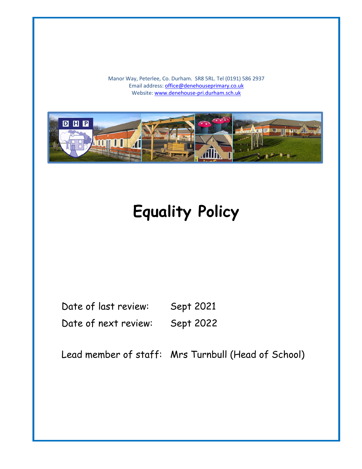Manor Way, Peterlee, Co. Durham. SR8 5RL. Tel (0191) 586 2937 Email address: [office@denehouseprimary.co.uk](mailto:office@denehouseprimary.co.uk) Website[: www.denehouse-pri.durham.sch.uk](http://www.denehouse-pri.durham.sch.uk/)



# **Equality Policy**

Date of last review: Sept 2021 Date of next review: Sept 2022

Lead member of staff: Mrs Turnbull (Head of School)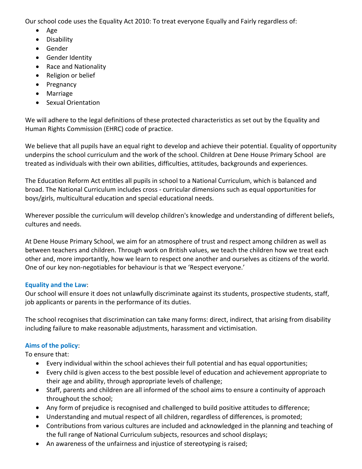Our school code uses the Equality Act 2010: To treat everyone Equally and Fairly regardless of:

- Age
- Disability
- Gender
- Gender Identity
- Race and Nationality
- Religion or belief
- Pregnancy
- Marriage
- Sexual Orientation

We will adhere to the legal definitions of these protected characteristics as set out by the Equality and Human Rights Commission (EHRC) code of practice.

We believe that all pupils have an equal right to develop and achieve their potential. Equality of opportunity underpins the school curriculum and the work of the school. Children at Dene House Primary School are treated as individuals with their own abilities, difficulties, attitudes, backgrounds and experiences.

The Education Reform Act entitles all pupils in school to a National Curriculum, which is balanced and broad. The National Curriculum includes cross - curricular dimensions such as equal opportunities for boys/girls, multicultural education and special educational needs.

Wherever possible the curriculum will develop children's knowledge and understanding of different beliefs, cultures and needs.

At Dene House Primary School, we aim for an atmosphere of trust and respect among children as well as between teachers and children. Through work on British values, we teach the children how we treat each other and, more importantly, how we learn to respect one another and ourselves as citizens of the world. One of our key non-negotiables for behaviour is that we 'Respect everyone.'

# **Equality and the Law**:

Our school will ensure it does not unlawfully discriminate against its students, prospective students, staff, job applicants or parents in the performance of its duties.

The school recognises that discrimination can take many forms: direct, indirect, that arising from disability including failure to make reasonable adjustments, harassment and victimisation.

# **Aims of the policy**:

To ensure that:

- Every individual within the school achieves their full potential and has equal opportunities;
- Every child is given access to the best possible level of education and achievement appropriate to their age and ability, through appropriate levels of challenge;
- Staff, parents and children are all informed of the school aims to ensure a continuity of approach throughout the school;
- Any form of prejudice is recognised and challenged to build positive attitudes to difference;
- Understanding and mutual respect of all children, regardless of differences, is promoted;
- Contributions from various cultures are included and acknowledged in the planning and teaching of the full range of National Curriculum subjects, resources and school displays;
- An awareness of the unfairness and injustice of stereotyping is raised;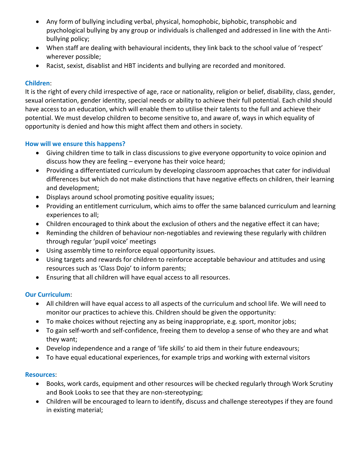- Any form of bullying including verbal, physical, homophobic, biphobic, transphobic and psychological bullying by any group or individuals is challenged and addressed in line with the Antibullying policy;
- When staff are dealing with behavioural incidents, they link back to the school value of 'respect' wherever possible;
- Racist, sexist, disablist and HBT incidents and bullying are recorded and monitored.

# **Children**:

It is the right of every child irrespective of age, race or nationality, religion or belief, disability, class, gender, sexual orientation, gender identity, special needs or ability to achieve their full potential. Each child should have access to an education, which will enable them to utilise their talents to the full and achieve their potential. We must develop children to become sensitive to, and aware of, ways in which equality of opportunity is denied and how this might affect them and others in society.

# **How will we ensure this happens?**

- Giving children time to talk in class discussions to give everyone opportunity to voice opinion and discuss how they are feeling – everyone has their voice heard;
- Providing a differentiated curriculum by developing classroom approaches that cater for individual differences but which do not make distinctions that have negative effects on children, their learning and development;
- Displays around school promoting positive equality issues;
- Providing an entitlement curriculum, which aims to offer the same balanced curriculum and learning experiences to all;
- Children encouraged to think about the exclusion of others and the negative effect it can have;
- Reminding the children of behaviour non-negotiables and reviewing these regularly with children through regular 'pupil voice' meetings
- Using assembly time to reinforce equal opportunity issues.
- Using targets and rewards for children to reinforce acceptable behaviour and attitudes and using resources such as 'Class Dojo' to inform parents;
- Ensuring that all children will have equal access to all resources.

# **Our Curriculum**:

- All children will have equal access to all aspects of the curriculum and school life. We will need to monitor our practices to achieve this. Children should be given the opportunity:
- To make choices without rejecting any as being inappropriate, e.g. sport, monitor jobs;
- To gain self-worth and self-confidence, freeing them to develop a sense of who they are and what they want;
- Develop independence and a range of 'life skills' to aid them in their future endeavours;
- To have equal educational experiences, for example trips and working with external visitors

### **Resources**:

- Books, work cards, equipment and other resources will be checked regularly through Work Scrutiny and Book Looks to see that they are non-stereotyping;
- Children will be encouraged to learn to identify, discuss and challenge stereotypes if they are found in existing material;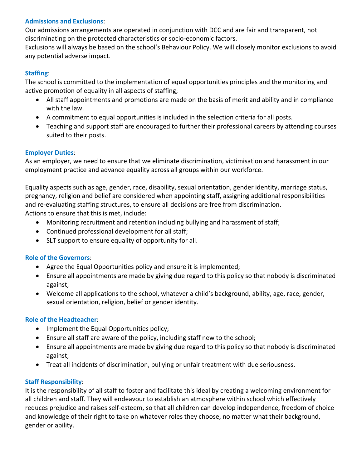### **Admissions and Exclusions**:

Our admissions arrangements are operated in conjunction with DCC and are fair and transparent, not discriminating on the protected characteristics or socio-economic factors.

Exclusions will always be based on the school's Behaviour Policy. We will closely monitor exclusions to avoid any potential adverse impact.

# **Staffing**:

The school is committed to the implementation of equal opportunities principles and the monitoring and active promotion of equality in all aspects of staffing;

- All staff appointments and promotions are made on the basis of merit and ability and in compliance with the law.
- A commitment to equal opportunities is included in the selection criteria for all posts.
- Teaching and support staff are encouraged to further their professional careers by attending courses suited to their posts.

# **Employer Duties**:

As an employer, we need to ensure that we eliminate discrimination, victimisation and harassment in our employment practice and advance equality across all groups within our workforce.

Equality aspects such as age, gender, race, disability, sexual orientation, gender identity, marriage status, pregnancy, religion and belief are considered when appointing staff, assigning additional responsibilities and re-evaluating staffing structures, to ensure all decisions are free from discrimination. Actions to ensure that this is met, include:

- Monitoring recruitment and retention including bullying and harassment of staff;
- Continued professional development for all staff;
- SLT support to ensure equality of opportunity for all.

### **Role of the Governors**:

- Agree the Equal Opportunities policy and ensure it is implemented;
- Ensure all appointments are made by giving due regard to this policy so that nobody is discriminated against;
- Welcome all applications to the school, whatever a child's background, ability, age, race, gender, sexual orientation, religion, belief or gender identity.

### **Role of the Headteacher**:

- Implement the Equal Opportunities policy;
- Ensure all staff are aware of the policy, including staff new to the school;
- Ensure all appointments are made by giving due regard to this policy so that nobody is discriminated against;
- Treat all incidents of discrimination, bullying or unfair treatment with due seriousness.

### **Staff Responsibility**:

It is the responsibility of all staff to foster and facilitate this ideal by creating a welcoming environment for all children and staff. They will endeavour to establish an atmosphere within school which effectively reduces prejudice and raises self-esteem, so that all children can develop independence, freedom of choice and knowledge of their right to take on whatever roles they choose, no matter what their background, gender or ability.